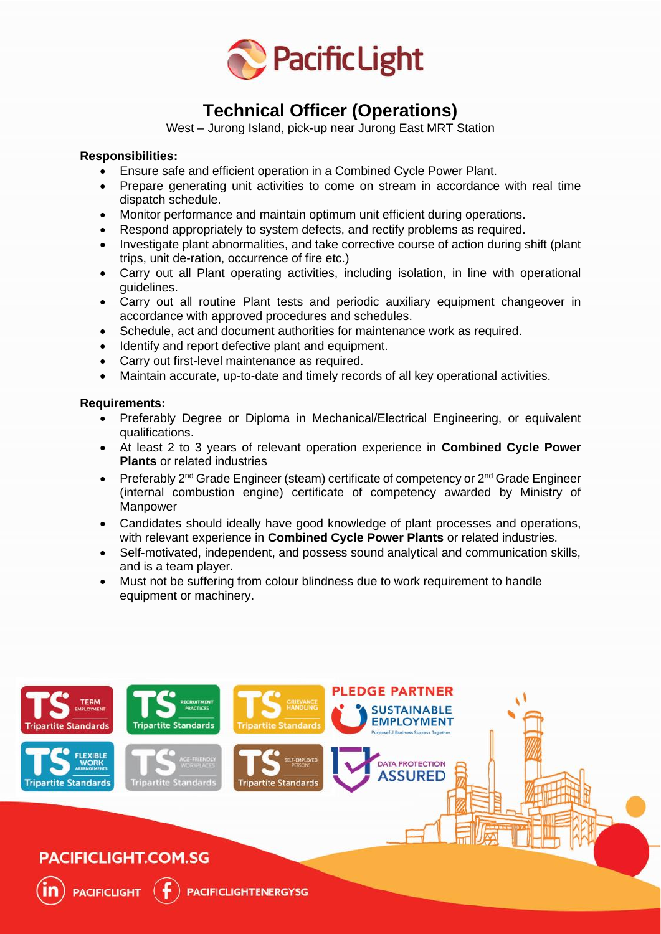

# **Technical Officer (Operations)**

West – Jurong Island, pick-up near Jurong East MRT Station

# **Responsibilities:**

- Ensure safe and efficient operation in a Combined Cycle Power Plant.
- Prepare generating unit activities to come on stream in accordance with real time dispatch schedule.
- Monitor performance and maintain optimum unit efficient during operations.
- Respond appropriately to system defects, and rectify problems as required.
- Investigate plant abnormalities, and take corrective course of action during shift (plant trips, unit de-ration, occurrence of fire etc.)
- Carry out all Plant operating activities, including isolation, in line with operational guidelines.
- Carry out all routine Plant tests and periodic auxiliary equipment changeover in accordance with approved procedures and schedules.
- Schedule, act and document authorities for maintenance work as required.
- Identify and report defective plant and equipment.
- Carry out first-level maintenance as required.
- Maintain accurate, up-to-date and timely records of all key operational activities.

### **Requirements:**

TFRM

**PACIFICLIGHT.COM.SG** 

**PACIFICLIGHT** 

tite Standards

**Tripartite Standards** 

**Tripartite Standards** 

rtite Standard

- Preferably Degree or Diploma in Mechanical/Electrical Engineering, or equivalent qualifications.
- At least 2 to 3 years of relevant operation experience in **Combined Cycle Power Plants** or related industries
- Preferably  $2^{nd}$  Grade Engineer (steam) certificate of competency or  $2^{nd}$  Grade Engineer (internal combustion engine) certificate of competency awarded by Ministry of **Manpower**
- Candidates should ideally have good knowledge of plant processes and operations, with relevant experience in **Combined Cycle Power Plants** or related industries.
- Self-motivated, independent, and possess sound analytical and communication skills, and is a team player.

**PLEDGE PARTNER** 

**SUSTAINABLE EMPLOYMENT** 

**DATA PROTECTION SSURED** 

• Must not be suffering from colour blindness due to work requirement to handle equipment or machinery.

rtite Standard

**PACIFICLIGHTENERGYSG**